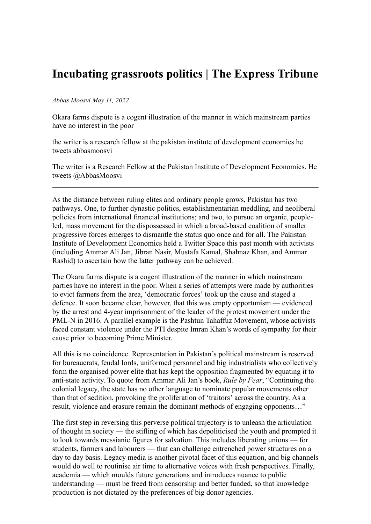## **Incubating grassroots politics | The Express Tribune**

*Abbas Moosvi May 11, 2022*

Okara farms dispute is a cogent illustration of the manner in which mainstream parties have no interest in the poor

the writer is a research fellow at the pakistan institute of development economics he tweets abbasmoosvi

The writer is a Research Fellow at the Pakistan Institute of Development Economics. He tweets @AbbasMoosvi

As the distance between ruling elites and ordinary people grows, Pakistan has two pathways. One, to further dynastic politics, establishmentarian meddling, and neoliberal policies from international financial institutions; and two, to pursue an organic, peopleled, mass movement for the dispossessed in which a broad-based coalition of smaller progressive forces emerges to dismantle the status quo once and for all. The Pakistan Institute of Development Economics held a Twitter Space this past month with activists (including Ammar Ali Jan, Jibran Nasir, Mustafa Kamal, Shahnaz Khan, and Ammar Rashid) to ascertain how the latter pathway can be achieved.

The Okara farms dispute is a cogent illustration of the manner in which mainstream parties have no interest in the poor. When a series of attempts were made by authorities to evict farmers from the area, 'democratic forces' took up the cause and staged a defence. It soon became clear, however, that this was empty opportunism — evidenced by the arrest and 4-year imprisonment of the leader of the protest movement under the PML-N in 2016. A parallel example is the Pashtun Tahaffuz Movement, whose activists faced constant violence under the PTI despite Imran Khan's words of sympathy for their cause prior to becoming Prime Minister.

All this is no coincidence. Representation in Pakistan's political mainstream is reserved for bureaucrats, feudal lords, uniformed personnel and big industrialists who collectively form the organised power elite that has kept the opposition fragmented by equating it to anti-state activity. To quote from Ammar Ali Jan's book, *Rule by Fear*, "Continuing the colonial legacy, the state has no other language to nominate popular movements other than that of sedition, provoking the proliferation of 'traitors' across the country. As a result, violence and erasure remain the dominant methods of engaging opponents…"

The first step in reversing this perverse political trajectory is to unleash the articulation of thought in society — the stifling of which has depoliticised the youth and prompted it to look towards messianic figures for salvation. This includes liberating unions — for students, farmers and labourers — that can challenge entrenched power structures on a day to day basis. Legacy media is another pivotal facet of this equation, and big channels would do well to routinise air time to alternative voices with fresh perspectives. Finally, academia — which moulds future generations and introduces nuance to public understanding — must be freed from censorship and better funded, so that knowledge production is not dictated by the preferences of big donor agencies.